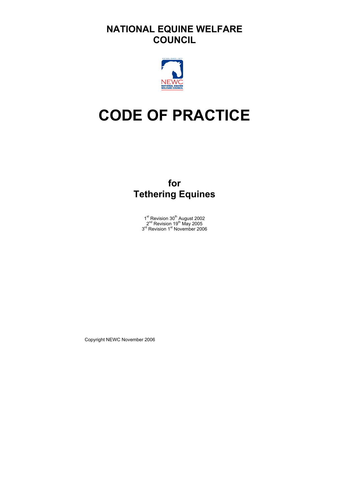# **NATIONAL EQUINE WELFARE COUNCIL**



# **CODE OF PRACTICE**

# **for Tethering Equines**

1<sup>st</sup> Revision 30<sup>th</sup> August 2002  $2^{nd}$  Revision 19<sup>th</sup> May 2005 3<sup>rd</sup> Revision 1<sup>st</sup> November 2006

Copyright NEWC November 2006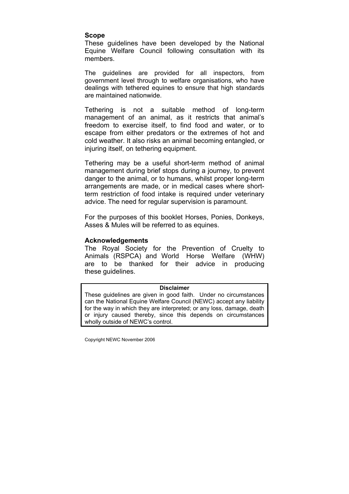#### **Scope**

These guidelines have been developed by the National Equine Welfare Council following consultation with its members.

The guidelines are provided for all inspectors, from government level through to welfare organisations, who have dealings with tethered equines to ensure that high standards are maintained nationwide.

Tethering is not a suitable method of long-term management of an animal, as it restricts that animal's freedom to exercise itself, to find food and water, or to escape from either predators or the extremes of hot and cold weather. It also risks an animal becoming entangled, or injuring itself, on tethering equipment.

Tethering may be a useful short-term method of animal management during brief stops during a journey, to prevent danger to the animal, or to humans, whilst proper long-term arrangements are made, or in medical cases where shortterm restriction of food intake is required under veterinary advice. The need for regular supervision is paramount.

For the purposes of this booklet Horses, Ponies, Donkeys, Asses & Mules will be referred to as equines.

#### **Acknowledgements**

The Royal Society for the Prevention of Cruelty to Animals (RSPCA) and World Horse Welfare (WHW) are to be thanked for their advice in producing these guidelines.

#### **Disclaimer**

These guidelines are given in good faith. Under no circumstances can the National Equine Welfare Council (NEWC) accept any liability for the way in which they are interpreted; or any loss, damage, death or injury caused thereby, since this depends on circumstances wholly outside of NEWC's control.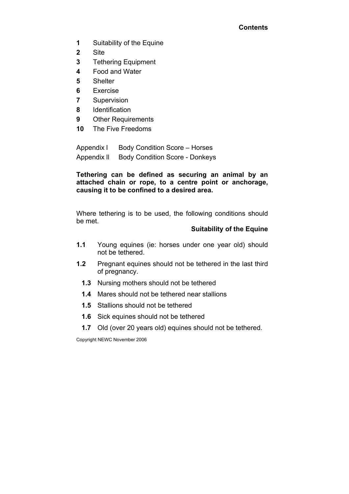### **Contents**

- **1** Suitability of the Equine
- **2** Site
- **3** Tethering Equipment
- **4** Food and Water
- **5** Shelter
- **6** Exercise
- **7** Supervision
- **8** Identification
- **9** Other Requirements
- **10** The Five Freedoms

Appendix l Body Condition Score – Horses Appendix II Body Condition Score - Donkeys

**Tethering can be defined as securing an animal by an attached chain or rope, to a centre point or anchorage, causing it to be confined to a desired area.** 

Where tethering is to be used, the following conditions should be met.

## **Suitability of the Equine**

- **1.1** Young equines (ie: horses under one year old) should not be tethered.
- **1.2** Pregnant equines should not be tethered in the last third of pregnancy.
	- **1.3** Nursing mothers should not be tethered
	- **1.4** Mares should not be tethered near stallions
	- **1.5** Stallions should not be tethered
	- **1.6** Sick equines should not be tethered
	- **1.7** Old (over 20 years old) equines should not be tethered.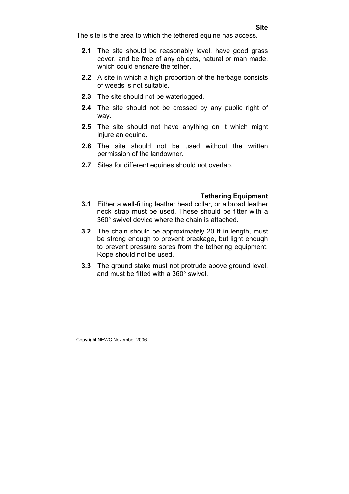The site is the area to which the tethered equine has access.

- **2.1** The site should be reasonably level, have good grass cover, and be free of any objects, natural or man made, which could ensnare the tether.
- **2.2** A site in which a high proportion of the herbage consists of weeds is not suitable.
- **2.3** The site should not be waterlogged.
- **2.4** The site should not be crossed by any public right of way.
- **2.5** The site should not have anything on it which might injure an equine.
- **2.6** The site should not be used without the written permission of the landowner.
- **2.7** Sites for different equines should not overlap.

## **Tethering Equipment**

- **3.1** Either a well-fitting leather head collar, or a broad leather neck strap must be used. These should be fitter with a 360° swivel device where the chain is attached.
- **3.2** The chain should be approximately 20 ft in length, must be strong enough to prevent breakage, but light enough to prevent pressure sores from the tethering equipment. Rope should not be used.
- **3.3** The ground stake must not protrude above ground level, and must be fitted with a 360° swivel.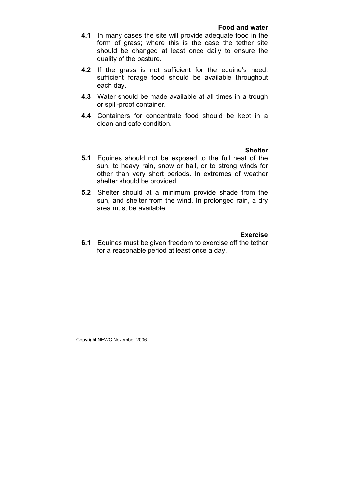#### **Food and water**

- **4.1** In many cases the site will provide adequate food in the form of grass; where this is the case the tether site should be changed at least once daily to ensure the quality of the pasture.
- **4.2** If the grass is not sufficient for the equine's need, sufficient forage food should be available throughout each day.
- **4.3** Water should be made available at all times in a trough or spill-proof container.
- **4.4** Containers for concentrate food should be kept in a clean and safe condition.

#### **Shelter**

- **5.1** Equines should not be exposed to the full heat of the sun, to heavy rain, snow or hail, or to strong winds for other than very short periods. In extremes of weather shelter should be provided.
- **5.2** Shelter should at a minimum provide shade from the sun, and shelter from the wind. In prolonged rain, a dry area must be available.

#### **Exercise**

**6.1** Equines must be given freedom to exercise off the tether for a reasonable period at least once a day.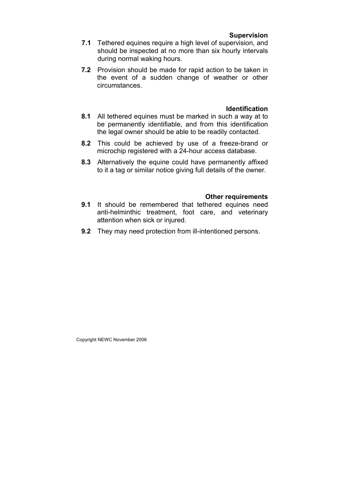#### **Supervision**

- **7.1** Tethered equines require a high level of supervision, and should be inspected at no more than six hourly intervals during normal waking hours.
- **7.2** Provision should be made for rapid action to be taken in the event of a sudden change of weather or other circumstances.

#### **Identification**

- **8.1** All tethered equines must be marked in such a way at to be permanently identifiable, and from this identification the legal owner should be able to be readily contacted.
- **8.2** This could be achieved by use of a freeze-brand or microchip registered with a 24-hour access database.
- **8.3** Alternatively the equine could have permanently affixed to it a tag or similar notice giving full details of the owner.

#### **Other requirements**

- **9.1** It should be remembered that tethered equines need anti-helminthic treatment, foot care, and veterinary attention when sick or injured.
- **9.2** They may need protection from ill-intentioned persons.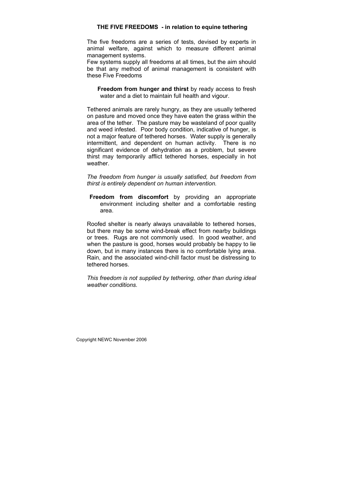#### **THE FIVE FREEDOMS - in relation to equine tethering**

The five freedoms are a series of tests, devised by experts in animal welfare, against which to measure different animal management systems.

Few systems supply all freedoms at all times, but the aim should be that any method of animal management is consistent with these Five Freedoms

**Freedom from hunger and thirst** by ready access to fresh water and a diet to maintain full health and vigour.

Tethered animals are rarely hungry, as they are usually tethered on pasture and moved once they have eaten the grass within the area of the tether. The pasture may be wasteland of poor quality and weed infested. Poor body condition, indicative of hunger, is not a major feature of tethered horses. Water supply is generally intermittent, and dependent on human activity. There is no significant evidence of dehydration as a problem, but severe thirst may temporarily afflict tethered horses, especially in hot weather.

*The freedom from hunger is usually satisfied, but freedom from thirst is entirely dependent on human intervention.* 

**Freedom from discomfort** by providing an appropriate environment including shelter and a comfortable resting area.

Roofed shelter is nearly always unavailable to tethered horses, but there may be some wind-break effect from nearby buildings or trees. Rugs are not commonly used. In good weather, and when the pasture is good, horses would probably be happy to lie down, but in many instances there is no comfortable lying area. Rain, and the associated wind-chill factor must be distressing to tethered horses.

*This freedom is not supplied by tethering, other than during ideal weather conditions.*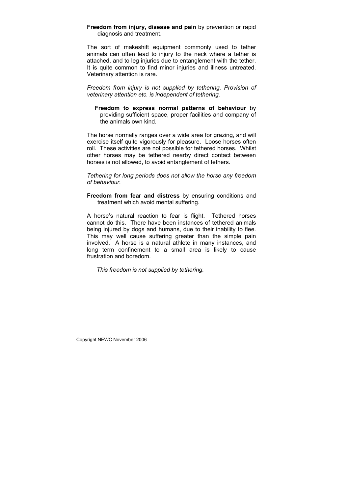**Freedom from injury, disease and pain** by prevention or rapid diagnosis and treatment.

The sort of makeshift equipment commonly used to tether animals can often lead to injury to the neck where a tether is attached, and to leg injuries due to entanglement with the tether. It is quite common to find minor injuries and illness untreated. Veterinary attention is rare.

*Freedom from injury is not supplied by tethering. Provision of veterinary attention etc. is independent of tethering.* 

**Freedom to express normal patterns of behaviour** by providing sufficient space, proper facilities and company of the animals own kind.

The horse normally ranges over a wide area for grazing, and will exercise itself quite vigorously for pleasure. Loose horses often roll. These activities are not possible for tethered horses. Whilst other horses may be tethered nearby direct contact between horses is not allowed, to avoid entanglement of tethers.

*Tethering for long periods does not allow the horse any freedom of behaviour.* 

**Freedom from fear and distress** by ensuring conditions and treatment which avoid mental suffering.

A horse's natural reaction to fear is flight. Tethered horses cannot do this. There have been instances of tethered animals being injured by dogs and humans, due to their inability to flee. This may well cause suffering greater than the simple pain involved. A horse is a natural athlete in many instances, and long term confinement to a small area is likely to cause frustration and boredom.

*This freedom is not supplied by tethering.*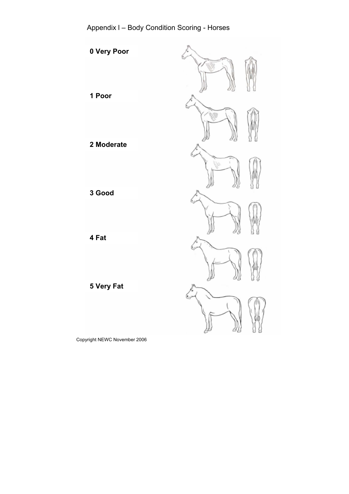Appendix l – Body Condition Scoring - Horses

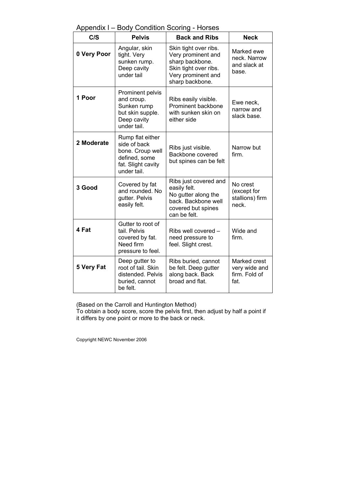# Appendix l – Body Condition Scoring - Horses

| C/S         | <b>Pelvis</b>                                                                                              | <b>Back and Ribs</b>                                                                                                             | <b>Neck</b>                                            |
|-------------|------------------------------------------------------------------------------------------------------------|----------------------------------------------------------------------------------------------------------------------------------|--------------------------------------------------------|
| 0 Very Poor | Angular, skin<br>tight. Very<br>sunken rump.<br>Deep cavity<br>under tail                                  | Skin tight over ribs.<br>Very prominent and<br>sharp backbone.<br>Skin tight over ribs.<br>Very prominent and<br>sharp backbone. | Marked ewe<br>neck. Narrow<br>and slack at<br>base.    |
| 1 Poor      | Prominent pelvis<br>and croup.<br>Sunken rump<br>but skin supple.<br>Deep cavity<br>under tail.            | Ribs easily visible.<br>Prominent backbone<br>with sunken skin on<br>either side                                                 | Ewe neck,<br>narrow and<br>slack base.                 |
| 2 Moderate  | Rump flat either<br>side of back<br>bone. Croup well<br>defined, some<br>fat. Slight cavity<br>under tail. | Ribs just visible.<br>Backbone covered<br>but spines can be felt                                                                 | Narrow but<br>firm.                                    |
| 3 Good      | Covered by fat<br>and rounded. No<br>gutter. Pelvis<br>easily felt.                                        | Ribs just covered and<br>easily felt.<br>No gutter along the<br>back. Backbone well<br>covered but spines<br>can be felt.        | No crest<br>(except for<br>stallions) firm<br>neck.    |
| 4 Fat       | Gutter to root of<br>tail. Pelvis<br>covered by fat.<br>Need firm<br>pressure to feel.                     | Ribs well covered -<br>need pressure to<br>feel. Slight crest.                                                                   | Wide and<br>firm.                                      |
| 5 Very Fat  | Deep gutter to<br>root of tail. Skin<br>distended. Pelvis<br>buried, cannot<br>be felt.                    | Ribs buried, cannot<br>be felt. Deep gutter<br>along back. Back<br>broad and flat.                                               | Marked crest<br>very wide and<br>firm. Fold of<br>fat. |

(Based on the Carroll and Huntington Method)

To obtain a body score, score the pelvis first, then adjust by half a point if it differs by one point or more to the back or neck.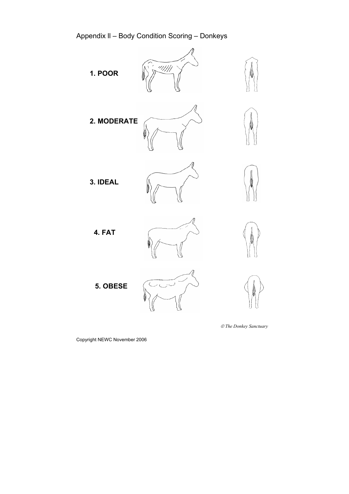Appendix ll – Body Condition Scoring – Donkeys

**1. POOR**





**2. MODERATE**





**3. IDEAL**





**4. FAT**



**5. OBESE**







 *The Donkey Sanctuary*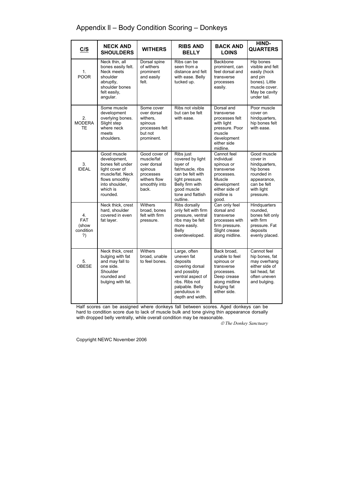# Appendix ll – Body Condition Scoring – Donkeys

| C/S                                          | <b>NECK AND</b><br><b>SHOULDERS</b>                                                                                                               | <b>WITHERS</b>                                                                                               | <b>RIBS AND</b><br><b>BELLY</b>                                                                                                                                         | <b>BACK AND</b><br><b>LOINS</b>                                                                                                        | HIND-<br><b>QUARTERS</b>                                                                                                     |
|----------------------------------------------|---------------------------------------------------------------------------------------------------------------------------------------------------|--------------------------------------------------------------------------------------------------------------|-------------------------------------------------------------------------------------------------------------------------------------------------------------------------|----------------------------------------------------------------------------------------------------------------------------------------|------------------------------------------------------------------------------------------------------------------------------|
| 1.<br><b>POOR</b>                            | Neck thin, all<br>bones easily felt.<br>Neck meets<br>shoulder<br>abruptly,<br>shoulder bones<br>felt easily,<br>angular.                         | Dorsal spine<br>of withers<br>prominent<br>and easily<br>felt.                                               | Ribs can be<br>seen from a<br>distance and felt<br>with ease. Belly<br>tucked up.                                                                                       | Backbone<br>prominent, can<br>feel dorsal and<br>transverse<br>processes<br>easily.                                                    | Hip bones<br>visible and felt<br>easily (hock<br>and pin<br>bones). Little<br>muscle cover.<br>May be cavity<br>under tail.  |
| 2.<br><b>MODERA</b><br><b>TE</b>             | Some muscle<br>development<br>overlying bones.<br>Slight step<br>where neck<br>meets<br>shoulders.                                                | Some cover<br>over dorsal<br>withers,<br>spinous<br>processes felt<br>but not<br>prominent.                  | Ribs not visible<br>but can be felt<br>with ease.                                                                                                                       | Dorsal and<br>transverse<br>processes felt<br>with light<br>pressure. Poor<br>muscle<br>development<br>either side<br>midline.         | Poor muscle<br>cover on<br>hindquarters,<br>hip bones felt<br>with ease.                                                     |
| 3.<br><b>IDEAL</b>                           | Good muscle<br>development,<br>bones felt under<br>light cover of<br>muscle/fat. Neck<br>flows smoothly<br>into shoulder,<br>which is<br>rounded. | Good cover of<br>muscle/fat<br>over dorsal<br>spinous<br>processes<br>withers flow<br>smoothly into<br>back. | Ribs just<br>covered by light<br>layer of<br>fat/muscle, ribs<br>can be felt with<br>light pressure.<br>Belly firm with<br>good muscle<br>tone and flattish<br>outline. | Cannot feel<br>individual<br>spinous or<br>transverse<br>processes.<br>Muscle<br>development<br>either side of<br>midline is<br>qood.  | Good muscle<br>cover in<br>hindquarters,<br>hip bones<br>rounded in<br>appearance,<br>can be felt<br>with light<br>pressure. |
| 4.<br><b>FAT</b><br>(show<br>condition<br>?) | Neck thick, crest<br>hard, shoulder<br>covered in even<br>fat layer.                                                                              | <b>Withers</b><br>broad, bones<br>felt with firm<br>pressure.                                                | Ribs dorsally<br>only felt with firm<br>pressure, ventral<br>ribs may be felt<br>more easily.<br>Belly<br>overdeveloped.                                                | Can only feel<br>dorsal and<br>transverse<br>processes with<br>firm pressure.<br>Slight crease<br>along midline.                       | Hindquarters<br>rounded.<br>bones felt only<br>with firm<br>pressure. Fat<br>deposits<br>evenly placed.                      |
| 5.<br>OBESE                                  | Neck thick, crest<br>bulging with fat<br>and may fall to<br>one side.<br>Shoulder<br>rounded and<br>bulging with fat.                             | Withers<br>broad, unable<br>to feel bones.                                                                   | Large, often<br>uneven fat<br>deposits<br>covering dorsal<br>and possibly<br>ventral aspect of<br>ribs. Ribs not<br>palpable. Belly<br>pendulous in<br>depth and width. | Back broad,<br>unable to feel<br>spinous or<br>transverse<br>processes.<br>Deep crease<br>along midline<br>bulging fat<br>either side. | Cannot feel<br>hip bones, fat<br>may overhang<br>either side of<br>tail head, fat<br>often uneven<br>and bulging.            |

Half scores can be assigned where donkeys fall between scores. Aged donkeys can be hard to condition score due to lack of muscle bulk and tone giving thin appearance dorsally with dropped belly ventrally, while overall condition may be reasonable.

 *The Donkey Sanctuary*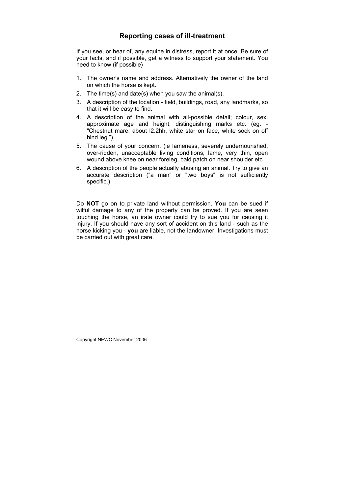# **Reporting cases of ill-treatment**

If you see, or hear of, any equine in distress, report it at once. Be sure of your facts, and if possible, get a witness to support your statement. You need to know (if possible)

- 1. The owner's name and address. Alternatively the owner of the land on which the horse is kept.
- 2. The time(s) and date(s) when you saw the animal(s).
- 3. A description of the location field, buildings, road, any landmarks, so that it will be easy to find.
- 4. A description of the animal with all-possible detail; colour, sex, approximate age and height, distinguishing marks etc. (eg. - "Chestnut mare, about l2.2hh, white star on face, white sock on off hind leg.")
- 5. The cause of your concern. (ie lameness, severely undernourished, over-ridden, unacceptable living conditions, lame, very thin, open wound above knee on near foreleg, bald patch on near shoulder etc.
- 6. A description of the people actually abusing an animal. Try to give an accurate description ("a man" or "two boys" is not sufficiently specific.)

Do **NOT** go on to private land without permission. **You** can be sued if wilful damage to any of the property can be proved. If you are seen touching the horse, an irate owner could try to sue you for causing it injury. If you should have any sort of accident on this land - such as the horse kicking you - **you** are liable, not the landowner. Investigations must be carried out with great care.